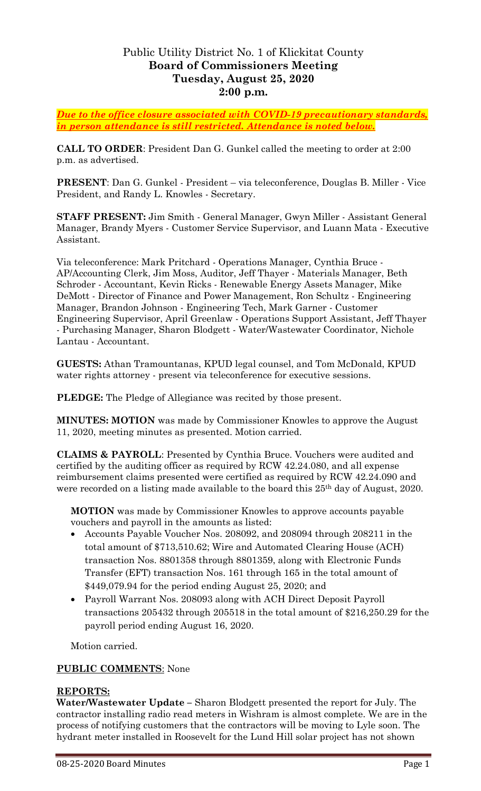# Public Utility District No. 1 of Klickitat County **Board of Commissioners Meeting Tuesday, August 25, 2020 2:00 p.m.**

*Due to the office closure associated with COVID-19 precautionary standards, in person attendance is still restricted. Attendance is noted below.*

**CALL TO ORDER**: President Dan G. Gunkel called the meeting to order at 2:00 p.m. as advertised.

**PRESENT**: Dan G. Gunkel - President – via teleconference, Douglas B. Miller - Vice President, and Randy L. Knowles - Secretary.

**STAFF PRESENT:** Jim Smith - General Manager, Gwyn Miller - Assistant General Manager, Brandy Myers - Customer Service Supervisor, and Luann Mata - Executive Assistant.

Via teleconference: Mark Pritchard - Operations Manager, Cynthia Bruce - AP/Accounting Clerk, Jim Moss, Auditor, Jeff Thayer - Materials Manager, Beth Schroder - Accountant, Kevin Ricks - Renewable Energy Assets Manager, Mike DeMott - Director of Finance and Power Management, Ron Schultz - Engineering Manager, Brandon Johnson - Engineering Tech, Mark Garner - Customer Engineering Supervisor, April Greenlaw - Operations Support Assistant, Jeff Thayer - Purchasing Manager, Sharon Blodgett - Water/Wastewater Coordinator, Nichole Lantau - Accountant.

**GUESTS:** Athan Tramountanas, KPUD legal counsel, and Tom McDonald, KPUD water rights attorney - present via teleconference for executive sessions.

**PLEDGE:** The Pledge of Allegiance was recited by those present.

**MINUTES: MOTION** was made by Commissioner Knowles to approve the August 11, 2020, meeting minutes as presented. Motion carried.

**CLAIMS & PAYROLL**: Presented by Cynthia Bruce. Vouchers were audited and certified by the auditing officer as required by RCW 42.24.080, and all expense reimbursement claims presented were certified as required by RCW 42.24.090 and were recorded on a listing made available to the board this 25<sup>th</sup> day of August, 2020.

**MOTION** was made by Commissioner Knowles to approve accounts payable vouchers and payroll in the amounts as listed:

- Accounts Payable Voucher Nos. 208092, and 208094 through 208211 in the total amount of \$713,510.62; Wire and Automated Clearing House (ACH) transaction Nos. 8801358 through 8801359, along with Electronic Funds Transfer (EFT) transaction Nos. 161 through 165 in the total amount of \$449,079.94 for the period ending August 25, 2020; and
- Payroll Warrant Nos. 208093 along with ACH Direct Deposit Payroll transactions 205432 through 205518 in the total amount of \$216,250.29 for the payroll period ending August 16, 2020.

Motion carried.

## **PUBLIC COMMENTS**: None

### **REPORTS:**

**Water/Wastewater Update –** Sharon Blodgett presented the report for July. The contractor installing radio read meters in Wishram is almost complete. We are in the process of notifying customers that the contractors will be moving to Lyle soon. The hydrant meter installed in Roosevelt for the Lund Hill solar project has not shown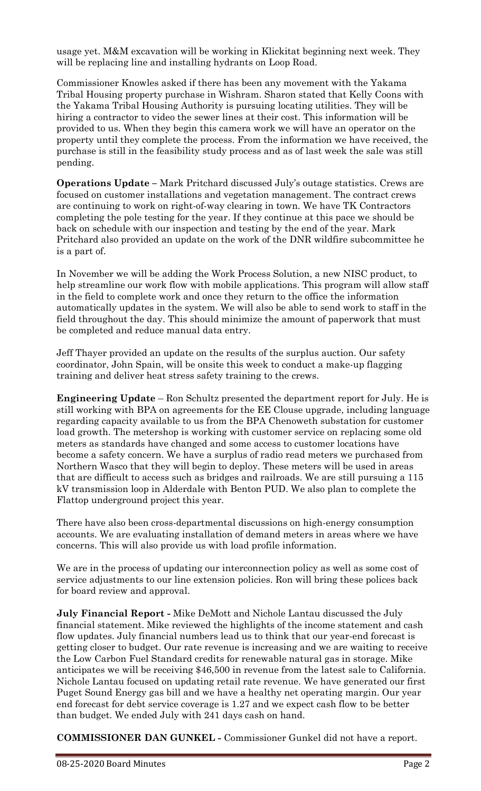usage yet. M&M excavation will be working in Klickitat beginning next week. They will be replacing line and installing hydrants on Loop Road.

Commissioner Knowles asked if there has been any movement with the Yakama Tribal Housing property purchase in Wishram. Sharon stated that Kelly Coons with the Yakama Tribal Housing Authority is pursuing locating utilities. They will be hiring a contractor to video the sewer lines at their cost. This information will be provided to us. When they begin this camera work we will have an operator on the property until they complete the process. From the information we have received, the purchase is still in the feasibility study process and as of last week the sale was still pending.

**Operations Update –** Mark Pritchard discussed July's outage statistics. Crews are focused on customer installations and vegetation management. The contract crews are continuing to work on right-of-way clearing in town. We have TK Contractors completing the pole testing for the year. If they continue at this pace we should be back on schedule with our inspection and testing by the end of the year. Mark Pritchard also provided an update on the work of the DNR wildfire subcommittee he is a part of.

In November we will be adding the Work Process Solution, a new NISC product, to help streamline our work flow with mobile applications. This program will allow staff in the field to complete work and once they return to the office the information automatically updates in the system. We will also be able to send work to staff in the field throughout the day. This should minimize the amount of paperwork that must be completed and reduce manual data entry.

Jeff Thayer provided an update on the results of the surplus auction. Our safety coordinator, John Spain, will be onsite this week to conduct a make-up flagging training and deliver heat stress safety training to the crews.

**Engineering Update** – Ron Schultz presented the department report for July. He is still working with BPA on agreements for the EE Clouse upgrade, including language regarding capacity available to us from the BPA Chenoweth substation for customer load growth. The metershop is working with customer service on replacing some old meters as standards have changed and some access to customer locations have become a safety concern. We have a surplus of radio read meters we purchased from Northern Wasco that they will begin to deploy. These meters will be used in areas that are difficult to access such as bridges and railroads. We are still pursuing a 115 kV transmission loop in Alderdale with Benton PUD. We also plan to complete the Flattop underground project this year.

There have also been cross-departmental discussions on high-energy consumption accounts. We are evaluating installation of demand meters in areas where we have concerns. This will also provide us with load profile information.

We are in the process of updating our interconnection policy as well as some cost of service adjustments to our line extension policies. Ron will bring these polices back for board review and approval.

**July Financial Report -** Mike DeMott and Nichole Lantau discussed the July financial statement. Mike reviewed the highlights of the income statement and cash flow updates. July financial numbers lead us to think that our year-end forecast is getting closer to budget. Our rate revenue is increasing and we are waiting to receive the Low Carbon Fuel Standard credits for renewable natural gas in storage. Mike anticipates we will be receiving \$46,500 in revenue from the latest sale to California. Nichole Lantau focused on updating retail rate revenue. We have generated our first Puget Sound Energy gas bill and we have a healthy net operating margin. Our year end forecast for debt service coverage is 1.27 and we expect cash flow to be better than budget. We ended July with 241 days cash on hand.

**COMMISSIONER DAN GUNKEL -** Commissioner Gunkel did not have a report.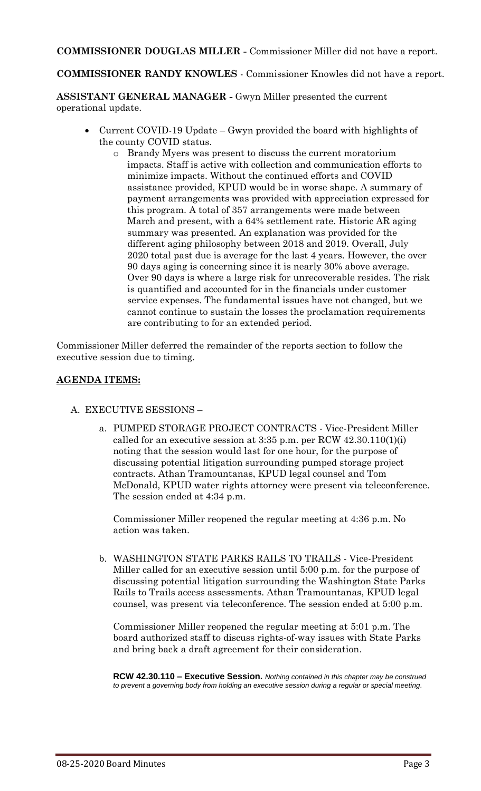**COMMISSIONER DOUGLAS MILLER -** Commissioner Miller did not have a report.

**COMMISSIONER RANDY KNOWLES** - Commissioner Knowles did not have a report.

**ASSISTANT GENERAL MANAGER -** Gwyn Miller presented the current operational update.

- Current COVID-19 Update Gwyn provided the board with highlights of the county COVID status.
	- o Brandy Myers was present to discuss the current moratorium impacts. Staff is active with collection and communication efforts to minimize impacts. Without the continued efforts and COVID assistance provided, KPUD would be in worse shape. A summary of payment arrangements was provided with appreciation expressed for this program. A total of 357 arrangements were made between March and present, with a 64% settlement rate. Historic AR aging summary was presented. An explanation was provided for the different aging philosophy between 2018 and 2019. Overall, July 2020 total past due is average for the last 4 years. However, the over 90 days aging is concerning since it is nearly 30% above average. Over 90 days is where a large risk for unrecoverable resides. The risk is quantified and accounted for in the financials under customer service expenses. The fundamental issues have not changed, but we cannot continue to sustain the losses the proclamation requirements are contributing to for an extended period.

Commissioner Miller deferred the remainder of the reports section to follow the executive session due to timing.

### **AGENDA ITEMS:**

- A. EXECUTIVE SESSIONS
	- a. PUMPED STORAGE PROJECT CONTRACTS Vice-President Miller called for an executive session at  $3:35$  p.m. per RCW  $42.30.110(1)(i)$ noting that the session would last for one hour, for the purpose of discussing potential litigation surrounding pumped storage project contracts. Athan Tramountanas, KPUD legal counsel and Tom McDonald, KPUD water rights attorney were present via teleconference. The session ended at 4:34 p.m.

Commissioner Miller reopened the regular meeting at 4:36 p.m. No action was taken.

b. WASHINGTON STATE PARKS RAILS TO TRAILS - Vice-President Miller called for an executive session until 5:00 p.m. for the purpose of discussing potential litigation surrounding the Washington State Parks Rails to Trails access assessments. Athan Tramountanas, KPUD legal counsel, was present via teleconference. The session ended at 5:00 p.m.

Commissioner Miller reopened the regular meeting at 5:01 p.m. The board authorized staff to discuss rights-of-way issues with State Parks and bring back a draft agreement for their consideration.

**RCW 42.30.110 – Executive Session.** *Nothing contained in this chapter may be construed to prevent a governing body from holding an executive session during a regular or special meeting.*